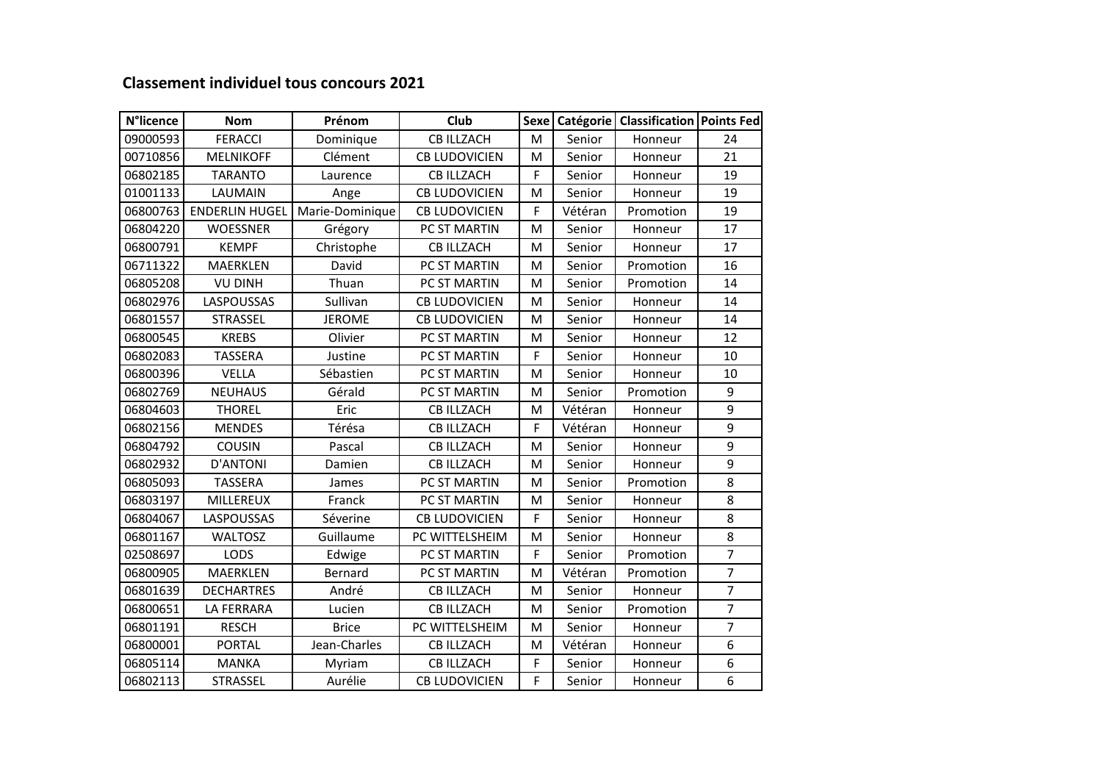## **Classement individuel tous concours 2021**

| <b>N°licence</b> | <b>Nom</b>            | Prénom          | Club                 |             |         | Sexe   Catégorie   Classification   Points Fed |                |
|------------------|-----------------------|-----------------|----------------------|-------------|---------|------------------------------------------------|----------------|
| 09000593         | <b>FERACCI</b>        | Dominique       | <b>CB ILLZACH</b>    | M           | Senior  | Honneur                                        | 24             |
| 00710856         | <b>MELNIKOFF</b>      | Clément         | <b>CB LUDOVICIEN</b> | M           | Senior  | Honneur                                        | 21             |
| 06802185         | <b>TARANTO</b>        | Laurence        | <b>CB ILLZACH</b>    | F           | Senior  | Honneur                                        | 19             |
| 01001133         | LAUMAIN               | Ange            | <b>CB LUDOVICIEN</b> | M           | Senior  | Honneur                                        | 19             |
| 06800763         | <b>ENDERLIN HUGEL</b> | Marie-Dominique | <b>CB LUDOVICIEN</b> | F           | Vétéran | Promotion                                      | 19             |
| 06804220         | <b>WOESSNER</b>       | Grégory         | PC ST MARTIN         | M           | Senior  | Honneur                                        | 17             |
| 06800791         | <b>KEMPF</b>          | Christophe      | <b>CB ILLZACH</b>    | M           | Senior  | Honneur                                        | 17             |
| 06711322         | MAERKLEN              | David           | PC ST MARTIN         | M           | Senior  | Promotion                                      | 16             |
| 06805208         | <b>VU DINH</b>        | Thuan           | PC ST MARTIN         | M           | Senior  | Promotion                                      | 14             |
| 06802976         | LASPOUSSAS            | Sullivan        | <b>CB LUDOVICIEN</b> | M           | Senior  | Honneur                                        | 14             |
| 06801557         | STRASSEL              | <b>JEROME</b>   | <b>CB LUDOVICIEN</b> | M           | Senior  | Honneur                                        | 14             |
| 06800545         | <b>KREBS</b>          | Olivier         | <b>PC ST MARTIN</b>  | M           | Senior  | Honneur                                        | 12             |
| 06802083         | <b>TASSERA</b>        | Justine         | PC ST MARTIN         | $\mathsf F$ | Senior  | Honneur                                        | 10             |
| 06800396         | <b>VELLA</b>          | Sébastien       | PC ST MARTIN         | M           | Senior  | Honneur                                        | 10             |
| 06802769         | <b>NEUHAUS</b>        | Gérald          | PC ST MARTIN         | M           | Senior  | Promotion                                      | 9              |
| 06804603         | <b>THOREL</b>         | Eric            | <b>CB ILLZACH</b>    | M           | Vétéran | Honneur                                        | $\overline{9}$ |
| 06802156         | <b>MENDES</b>         | Térésa          | <b>CB ILLZACH</b>    | F           | Vétéran | Honneur                                        | 9              |
| 06804792         | COUSIN                | Pascal          | <b>CB ILLZACH</b>    | M           | Senior  | Honneur                                        | 9              |
| 06802932         | <b>D'ANTONI</b>       | Damien          | <b>CB ILLZACH</b>    | M           | Senior  | Honneur                                        | 9              |
| 06805093         | <b>TASSERA</b>        | James           | PC ST MARTIN         | M           | Senior  | Promotion                                      | 8              |
| 06803197         | MILLEREUX             | Franck          | PC ST MARTIN         | M           | Senior  | Honneur                                        | 8              |
| 06804067         | LASPOUSSAS            | Séverine        | <b>CB LUDOVICIEN</b> | F           | Senior  | Honneur                                        | 8              |
| 06801167         | <b>WALTOSZ</b>        | Guillaume       | PC WITTELSHEIM       | M           | Senior  | Honneur                                        | 8              |
| 02508697         | LODS                  | Edwige          | PC ST MARTIN         | F           | Senior  | Promotion                                      | $\overline{7}$ |
| 06800905         | MAERKLEN              | Bernard         | PC ST MARTIN         | M           | Vétéran | Promotion                                      | $\overline{7}$ |
| 06801639         | <b>DECHARTRES</b>     | André           | <b>CB ILLZACH</b>    | M           | Senior  | Honneur                                        | $\overline{7}$ |
| 06800651         | LA FERRARA            | Lucien          | <b>CB ILLZACH</b>    | M           | Senior  | Promotion                                      | $\overline{7}$ |
| 06801191         | <b>RESCH</b>          | <b>Brice</b>    | PC WITTELSHEIM       | M           | Senior  | Honneur                                        | $\overline{7}$ |
| 06800001         | <b>PORTAL</b>         | Jean-Charles    | <b>CB ILLZACH</b>    | M           | Vétéran | Honneur                                        | 6              |
| 06805114         | <b>MANKA</b>          | Myriam          | <b>CB ILLZACH</b>    | F           | Senior  | Honneur                                        | 6              |
| 06802113         | <b>STRASSEL</b>       | Aurélie         | <b>CB LUDOVICIEN</b> | F           | Senior  | Honneur                                        | 6              |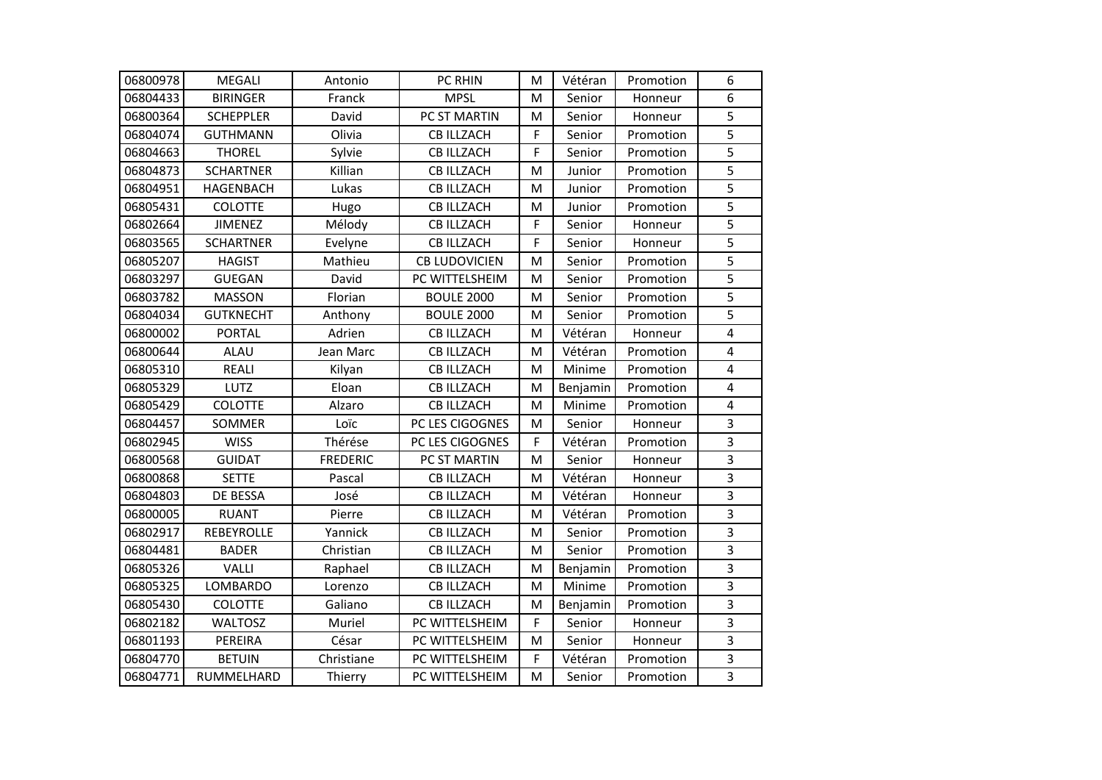| 06800978 | <b>MEGALI</b>    | Antonio         | PC RHIN              | M | Vétéran  | Promotion | 6                       |
|----------|------------------|-----------------|----------------------|---|----------|-----------|-------------------------|
| 06804433 | <b>BIRINGER</b>  | Franck          | <b>MPSL</b>          | M | Senior   | Honneur   | 6                       |
| 06800364 | <b>SCHEPPLER</b> | David           | PC ST MARTIN         | M | Senior   | Honneur   | 5                       |
| 06804074 | <b>GUTHMANN</b>  | Olivia          | <b>CB ILLZACH</b>    | F | Senior   | Promotion | 5                       |
| 06804663 | <b>THOREL</b>    | Sylvie          | <b>CB ILLZACH</b>    | F | Senior   | Promotion | 5                       |
| 06804873 | <b>SCHARTNER</b> | Killian         | <b>CB ILLZACH</b>    | M | Junior   | Promotion | 5                       |
| 06804951 | <b>HAGENBACH</b> | Lukas           | <b>CB ILLZACH</b>    | M | Junior   | Promotion | $\overline{5}$          |
| 06805431 | <b>COLOTTE</b>   | Hugo            | <b>CB ILLZACH</b>    | M | Junior   | Promotion | $\overline{5}$          |
| 06802664 | <b>JIMENEZ</b>   | Mélody          | <b>CB ILLZACH</b>    | F | Senior   | Honneur   | 5                       |
| 06803565 | <b>SCHARTNER</b> | Evelyne         | <b>CB ILLZACH</b>    | F | Senior   | Honneur   | 5                       |
| 06805207 | <b>HAGIST</b>    | Mathieu         | <b>CB LUDOVICIEN</b> | M | Senior   | Promotion | 5                       |
| 06803297 | <b>GUEGAN</b>    | David           | PC WITTELSHEIM       | M | Senior   | Promotion | 5                       |
| 06803782 | <b>MASSON</b>    | Florian         | <b>BOULE 2000</b>    | M | Senior   | Promotion | $\overline{5}$          |
| 06804034 | <b>GUTKNECHT</b> | Anthony         | <b>BOULE 2000</b>    | M | Senior   | Promotion | $\overline{5}$          |
| 06800002 | <b>PORTAL</b>    | Adrien          | <b>CB ILLZACH</b>    | M | Vétéran  | Honneur   | $\overline{4}$          |
| 06800644 | <b>ALAU</b>      | Jean Marc       | <b>CB ILLZACH</b>    | M | Vétéran  | Promotion | 4                       |
| 06805310 | <b>REALI</b>     | Kilyan          | <b>CB ILLZACH</b>    | M | Minime   | Promotion | 4                       |
| 06805329 | LUTZ             | Eloan           | <b>CB ILLZACH</b>    | M | Benjamin | Promotion | $\overline{4}$          |
| 06805429 | <b>COLOTTE</b>   | Alzaro          | <b>CB ILLZACH</b>    | M | Minime   | Promotion | $\overline{\mathbf{4}}$ |
| 06804457 | SOMMER           | Loïc            | PC LES CIGOGNES      | M | Senior   | Honneur   | 3                       |
| 06802945 | <b>WISS</b>      | Thérése         | PC LES CIGOGNES      | F | Vétéran  | Promotion | 3                       |
| 06800568 | <b>GUIDAT</b>    | <b>FREDERIC</b> | PC ST MARTIN         | M | Senior   | Honneur   | 3                       |
| 06800868 | <b>SETTE</b>     | Pascal          | <b>CB ILLZACH</b>    | M | Vétéran  | Honneur   | $\overline{3}$          |
| 06804803 | DE BESSA         | José            | <b>CB ILLZACH</b>    | M | Vétéran  | Honneur   | $\overline{3}$          |
| 06800005 | <b>RUANT</b>     | Pierre          | <b>CB ILLZACH</b>    | M | Vétéran  | Promotion | 3                       |
| 06802917 | REBEYROLLE       | Yannick         | <b>CB ILLZACH</b>    | M | Senior   | Promotion | 3                       |
| 06804481 | <b>BADER</b>     | Christian       | <b>CB ILLZACH</b>    | M | Senior   | Promotion | 3                       |
| 06805326 | VALLI            | Raphael         | <b>CB ILLZACH</b>    | M | Benjamin | Promotion | $\overline{3}$          |
| 06805325 | LOMBARDO         | Lorenzo         | <b>CB ILLZACH</b>    | M | Minime   | Promotion | 3                       |
| 06805430 | <b>COLOTTE</b>   | Galiano         | <b>CB ILLZACH</b>    | M | Benjamin | Promotion | $\overline{3}$          |
| 06802182 | <b>WALTOSZ</b>   | Muriel          | PC WITTELSHEIM       | F | Senior   | Honneur   | 3                       |
| 06801193 | PEREIRA          | César           | PC WITTELSHEIM       | M | Senior   | Honneur   | 3                       |
| 06804770 | <b>BETUIN</b>    | Christiane      | PC WITTELSHEIM       | F | Vétéran  | Promotion | 3                       |
| 06804771 | RUMMELHARD       | Thierry         | PC WITTELSHEIM       | M | Senior   | Promotion | 3                       |